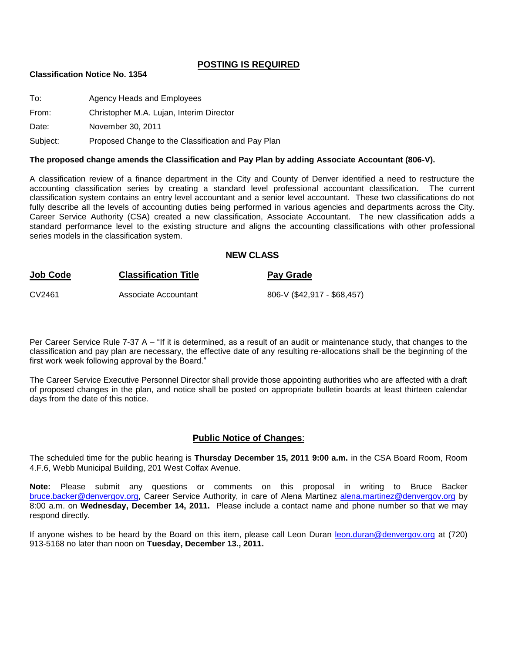#### **POSTING IS REQUIRED**

#### **Classification Notice No. 1354**

To: Agency Heads and Employees

From: Christopher M.A. Lujan, Interim Director

Date: November 30, 2011

Subject: Proposed Change to the Classification and Pay Plan

#### **The proposed change amends the Classification and Pay Plan by adding Associate Accountant (806-V).**

A classification review of a finance department in the City and County of Denver identified a need to restructure the accounting classification series by creating a standard level professional accountant classification. The current classification system contains an entry level accountant and a senior level accountant. These two classifications do not fully describe all the levels of accounting duties being performed in various agencies and departments across the City. Career Service Authority (CSA) created a new classification, Associate Accountant. The new classification adds a standard performance level to the existing structure and aligns the accounting classifications with other professional series models in the classification system.

#### **NEW CLASS**

| <u>Job Code</u> | <b>Classification Title</b> | <b>Pay Grade</b>            |
|-----------------|-----------------------------|-----------------------------|
| CV2461          | Associate Accountant        | 806-V (\$42,917 - \$68,457) |

Per Career Service Rule 7-37 A – "If it is determined, as a result of an audit or maintenance study, that changes to the classification and pay plan are necessary, the effective date of any resulting re-allocations shall be the beginning of the first work week following approval by the Board."

The Career Service Executive Personnel Director shall provide those appointing authorities who are affected with a draft of proposed changes in the plan, and notice shall be posted on appropriate bulletin boards at least thirteen calendar days from the date of this notice.

#### **Public Notice of Changes**:

The scheduled time for the public hearing is **Thursday December 15, 2011 9:00 a.m.** in the CSA Board Room, Room 4.F.6, Webb Municipal Building, 201 West Colfax Avenue.

**Note:** Please submit any questions or comments on this proposal in writing to Bruce Backer [bruce.backer@denvergov.org,](mailto:bruce.backer@denvergov.org) Career Service Authority, in care of Alena Martinez [alena.martinez@denvergov.org](mailto:alena.martinez@denvergov.org) by 8:00 a.m. on **Wednesday, December 14, 2011.** Please include a contact name and phone number so that we may respond directly.

If anyone wishes to be heard by the Board on this item, please call Leon Duran [leon.duran@denvergov.org](mailto:leon.duran@denvergov.org) at (720) 913-5168 no later than noon on **Tuesday, December 13., 2011.**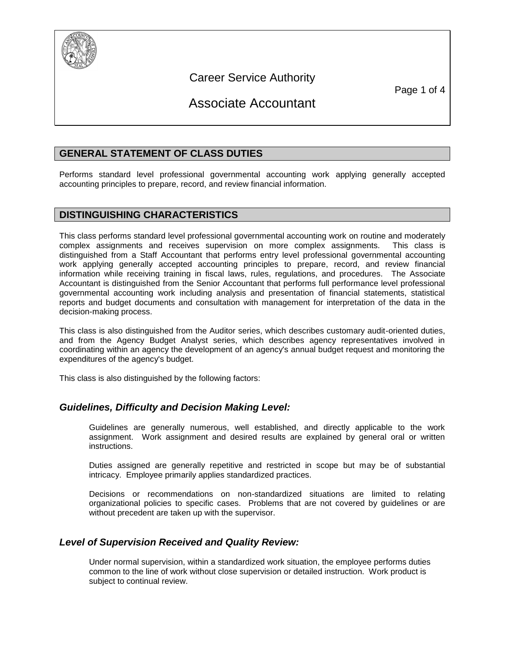

## Career Service Authority

Page 1 of 4

# Associate Accountant

## **GENERAL STATEMENT OF CLASS DUTIES**

Performs standard level professional governmental accounting work applying generally accepted accounting principles to prepare, record, and review financial information.

## **DISTINGUISHING CHARACTERISTICS**

This class performs standard level professional governmental accounting work on routine and moderately complex assignments and receives supervision on more complex assignments. This class is distinguished from a Staff Accountant that performs entry level professional governmental accounting work applying generally accepted accounting principles to prepare, record, and review financial information while receiving training in fiscal laws, rules, regulations, and procedures. The Associate Accountant is distinguished from the Senior Accountant that performs full performance level professional governmental accounting work including analysis and presentation of financial statements, statistical reports and budget documents and consultation with management for interpretation of the data in the decision-making process.

This class is also distinguished from the Auditor series, which describes customary audit-oriented duties, and from the Agency Budget Analyst series, which describes agency representatives involved in coordinating within an agency the development of an agency's annual budget request and monitoring the expenditures of the agency's budget.

This class is also distinguished by the following factors:

#### *Guidelines, Difficulty and Decision Making Level:*

Guidelines are generally numerous, well established, and directly applicable to the work assignment. Work assignment and desired results are explained by general oral or written instructions.

Duties assigned are generally repetitive and restricted in scope but may be of substantial intricacy. Employee primarily applies standardized practices.

Decisions or recommendations on non-standardized situations are limited to relating organizational policies to specific cases. Problems that are not covered by guidelines or are without precedent are taken up with the supervisor.

#### *Level of Supervision Received and Quality Review:*

Under normal supervision, within a standardized work situation, the employee performs duties common to the line of work without close supervision or detailed instruction. Work product is subject to continual review.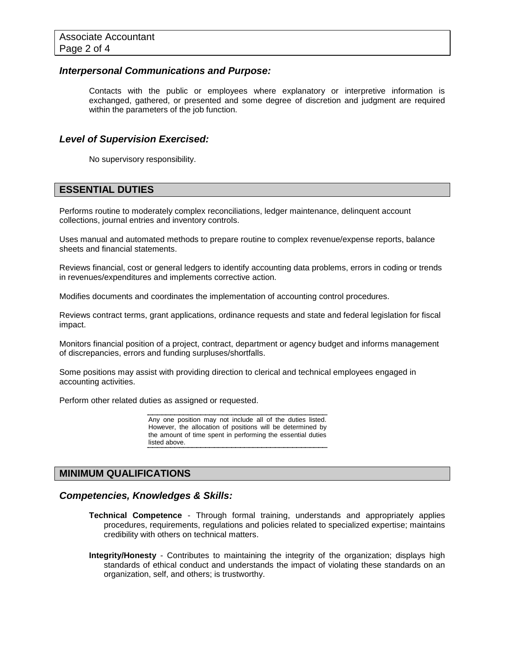#### *Interpersonal Communications and Purpose:*

Contacts with the public or employees where explanatory or interpretive information is exchanged, gathered, or presented and some degree of discretion and judgment are required within the parameters of the job function.

#### *Level of Supervision Exercised:*

No supervisory responsibility.

#### **ESSENTIAL DUTIES**

Performs routine to moderately complex reconciliations, ledger maintenance, delinquent account collections, journal entries and inventory controls.

Uses manual and automated methods to prepare routine to complex revenue/expense reports, balance sheets and financial statements.

Reviews financial, cost or general ledgers to identify accounting data problems, errors in coding or trends in revenues/expenditures and implements corrective action.

Modifies documents and coordinates the implementation of accounting control procedures.

Reviews contract terms, grant applications, ordinance requests and state and federal legislation for fiscal impact.

Monitors financial position of a project, contract, department or agency budget and informs management of discrepancies, errors and funding surpluses/shortfalls.

Some positions may assist with providing direction to clerical and technical employees engaged in accounting activities.

Perform other related duties as assigned or requested.

Any one position may not include all of the duties listed. However, the allocation of positions will be determined by the amount of time spent in performing the essential duties listed above.

#### **MINIMUM QUALIFICATIONS**

#### *Competencies, Knowledges & Skills:*

- **Technical Competence** Through formal training, understands and appropriately applies procedures, requirements, regulations and policies related to specialized expertise; maintains credibility with others on technical matters.
- **Integrity/Honesty** Contributes to maintaining the integrity of the organization; displays high standards of ethical conduct and understands the impact of violating these standards on an organization, self, and others; is trustworthy.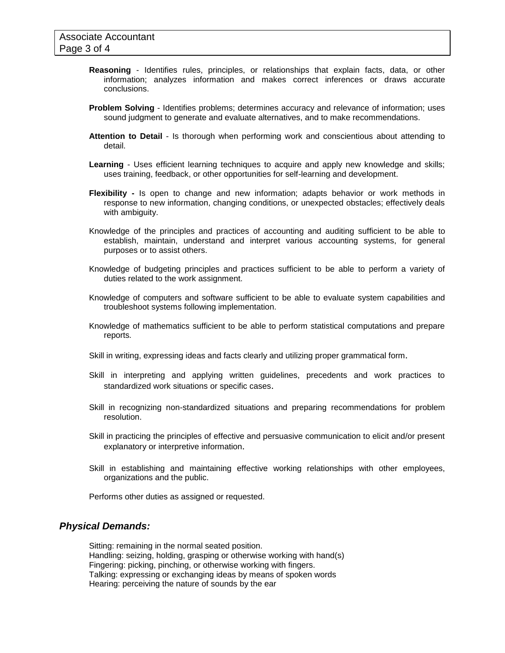- **Reasoning** Identifies rules, principles, or relationships that explain facts, data, or other information; analyzes information and makes correct inferences or draws accurate conclusions.
- **Problem Solving** Identifies problems; determines accuracy and relevance of information; uses sound judgment to generate and evaluate alternatives, and to make recommendations.
- **Attention to Detail** Is thorough when performing work and conscientious about attending to detail.
- **Learning** Uses efficient learning techniques to acquire and apply new knowledge and skills; uses training, feedback, or other opportunities for self-learning and development.
- **Flexibility -** Is open to change and new information; adapts behavior or work methods in response to new information, changing conditions, or unexpected obstacles; effectively deals with ambiguity.
- Knowledge of the principles and practices of accounting and auditing sufficient to be able to establish, maintain, understand and interpret various accounting systems, for general purposes or to assist others.
- Knowledge of budgeting principles and practices sufficient to be able to perform a variety of duties related to the work assignment.
- Knowledge of computers and software sufficient to be able to evaluate system capabilities and troubleshoot systems following implementation.
- Knowledge of mathematics sufficient to be able to perform statistical computations and prepare reports*.*
- Skill in writing, expressing ideas and facts clearly and utilizing proper grammatical form*.*
- Skill in interpreting and applying written guidelines, precedents and work practices to standardized work situations or specific cases.
- Skill in recognizing non-standardized situations and preparing recommendations for problem resolution.
- Skill in practicing the principles of effective and persuasive communication to elicit and/or present explanatory or interpretive information.
- Skill in establishing and maintaining effective working relationships with other employees, organizations and the public.

Performs other duties as assigned or requested.

#### *Physical Demands:*

Sitting: remaining in the normal seated position. Handling: seizing, holding, grasping or otherwise working with hand(s) Fingering: picking, pinching, or otherwise working with fingers. Talking: expressing or exchanging ideas by means of spoken words Hearing: perceiving the nature of sounds by the ear